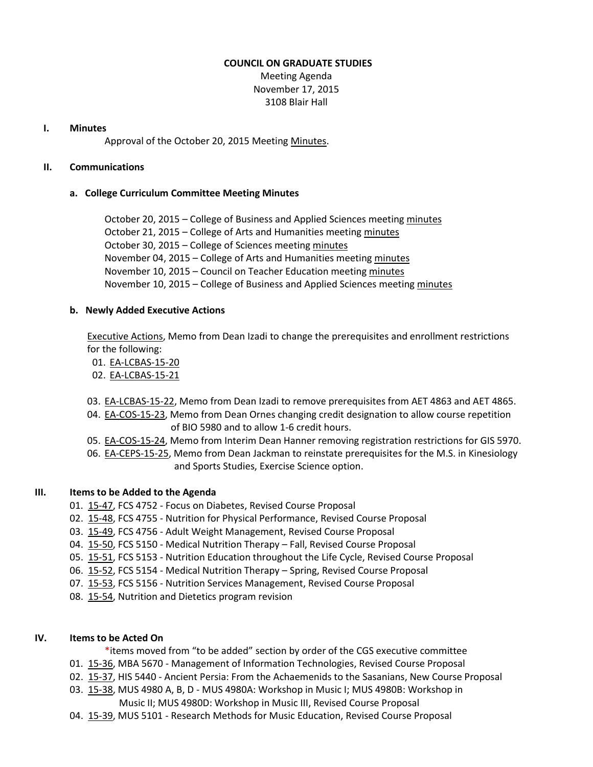#### **COUNCIL ON GRADUATE STUDIES**

Meeting Agenda November 17, 2015 3108 Blair Hall

## **I. Minutes**

Approval of the October 20, 2015 Meeting [Minutes.](http://castle.eiu.edu/eiucgs/currentminutes/Minutes10-20-15.pdf)

# **II. Communications**

# **a. College Curriculum Committee Meeting Minutes**

October 20, 2015 – College of Business and Applied Sciences meeting [minutes](http://castle.eiu.edu/~eiucgs/currentagendaitems/LCBASMin10-20-15.pdf) October 21, 2015 – College of Arts and Humanities meeting [minutes](http://castle.eiu.edu/~eiucgs/currentagendaitems/CAHMin10-21-15.pdf) October 30, 2015 – College of Sciences meeting [minutes](http://castle.eiu.edu/~eiucgs/currentagendaitems/COSMin10-30-15.pdf) November 04, 2015 – College of Arts and Humanities meetin[g minutes](http://castle.eiu.edu/~eiucgs/currentagendaitems/CAHMin11-04-15.pdf) November 10, 2015 – Council on Teacher Education meeting [minutes](http://castle.eiu.edu/~eiucgs/currentagendaitems/COTEMin11-10-15.pdf) November 10, 2015 – College of Business and Applied Sciences meetin[g minutes](http://castle.eiu.edu/~eiucgs/currentagendaitems/LCBASMin11-10-15.pdf)

# **b. Newly Added Executive Actions**

[Executive Actions,](http://castle.eiu.edu/~eiucgs/exec-actions/EA_11-17-15.pdf) Memo from Dean Izadi to change the prerequisites and enrollment restrictions for the following:

- 01. [EA-LCBAS-15-20](http://castle.eiu.edu/~eiucgs/exec-actions/EA-LCBAS-15-20.pdf)
- 02. [EA-LCBAS-15-21](http://castle.eiu.edu/~eiucgs/exec-actions/EA-LCBAS-15-21.pdf)
- 03. [EA-LCBAS-15-22,](http://castle.eiu.edu/~eiucgs/exec-actions/EA-LCBAS-15-22.pdf) Memo from Dean Izadi to remove prerequisites from AET 4863 and AET 4865.
- 04. [EA-COS-15-23,](http://castle.eiu.edu/~eiucgs/exec-actions/EA-COS-15-23.pdf) Memo from Dean Ornes changing credit designation to allow course repetition of BIO 5980 and to allow 1-6 credit hours.
- 05. [EA-COS-15-24,](http://castle.eiu.edu/~eiucgs/exec-actions/EA-COS-15-24.pdf) Memo from Interim Dean Hanner removing registration restrictions for GIS 5970.
- 06. [EA-CEPS-15-25,](http://castle.eiu.edu/~eiucgs/exec-actions/EA-CEPS-15-25.pdf) Memo from Dean Jackman to reinstate prerequisites for the M.S. in Kinesiology and Sports Studies, Exercise Science option.

# **III. Items to be Added to the Agenda**

- 01. [15-47,](http://castle.eiu.edu/~eiucgs/currentagendaitems/agenda15-47.pdf) FCS 4752 Focus on Diabetes, Revised Course Proposal
- 02. [15-48,](http://castle.eiu.edu/~eiucgs/currentagendaitems/agenda15-48.pdf) FCS 4755 Nutrition for Physical Performance, Revised Course Proposal
- 03. [15-49,](http://castle.eiu.edu/~eiucgs/currentagendaitems/agenda15-49.pdf) FCS 4756 Adult Weight Management, Revised Course Proposal
- 04. [15-50,](http://castle.eiu.edu/~eiucgs/currentagendaitems/agenda15-50.pdf) FCS 5150 Medical Nutrition Therapy Fall, Revised Course Proposal
- 05. [15-51,](http://castle.eiu.edu/~eiucgs/currentagendaitems/agenda15-51.pdf) FCS 5153 Nutrition Education throughout the Life Cycle, Revised Course Proposal
- 06. [15-52,](http://castle.eiu.edu/~eiucgs/currentagendaitems/agenda15-52.pdf) FCS 5154 Medical Nutrition Therapy Spring, Revised Course Proposal
- 07. [15-53,](http://castle.eiu.edu/~eiucgs/currentagendaitems/agenda15-53.pdf) FCS 5156 Nutrition Services Management, Revised Course Proposal
- 08. [15-54,](http://castle.eiu.edu/~eiucgs/currentagendaitems/agenda15-54.pdf) Nutrition and Dietetics program revision

# **IV. Items to be Acted On**

- \*items moved from "to be added" section by order of the CGS executive committee
- 01. [15-36,](http://castle.eiu.edu/~eiucgs/currentagendaitems/agenda15-36.pdf) MBA 5670 Management of Information Technologies, Revised Course Proposal
- 02. [15-37,](http://castle.eiu.edu/~eiucgs/currentagendaitems/agenda15-37.pdf) HIS 5440 Ancient Persia: From the Achaemenids to the Sasanians, New Course Proposal
- 03. [15-38,](http://castle.eiu.edu/~eiucgs/currentagendaitems/agenda15-38.pdf) MUS 4980 A, B, D MUS 4980A: Workshop in Music I; MUS 4980B: Workshop in Music II; MUS 4980D: Workshop in Music III, Revised Course Proposal
- 04. [15-39,](http://castle.eiu.edu/~eiucgs/currentagendaitems/agenda15-39.pdf) MUS 5101 Research Methods for Music Education, Revised Course Proposal